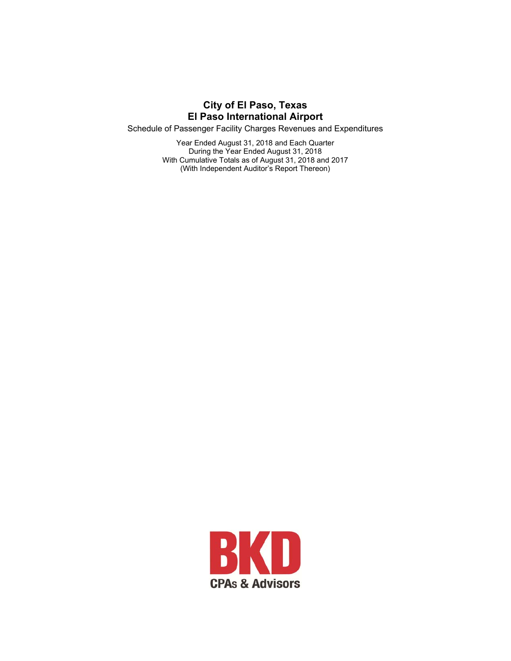Schedule of Passenger Facility Charges Revenues and Expenditures

Year Ended August 31, 2018 and Each Quarter During the Year Ended August 31, 2018 With Cumulative Totals as of August 31, 2018 and 2017 (With Independent Auditor's Report Thereon)

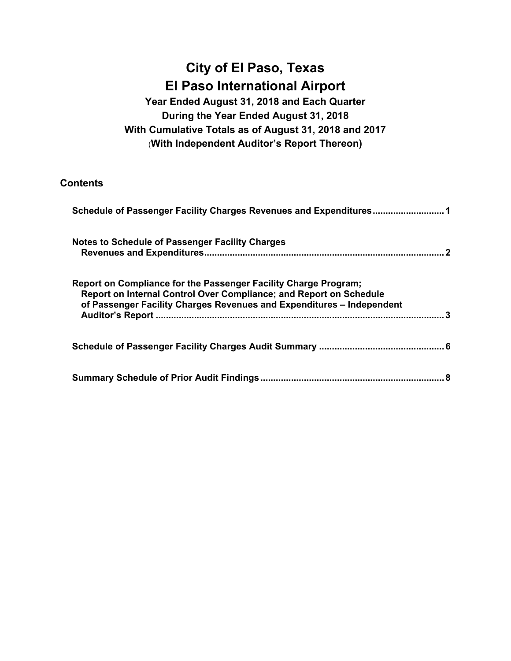**Year Ended August 31, 2018 and Each Quarter During the Year Ended August 31, 2018 With Cumulative Totals as of August 31, 2018 and 2017**  (**With Independent Auditor's Report Thereon)** 

### **Contents**

| Schedule of Passenger Facility Charges Revenues and Expenditures1                                                                                                                                                              |  |
|--------------------------------------------------------------------------------------------------------------------------------------------------------------------------------------------------------------------------------|--|
| Notes to Schedule of Passenger Facility Charges                                                                                                                                                                                |  |
| Report on Compliance for the Passenger Facility Charge Program;<br>Report on Internal Control Over Compliance; and Report on Schedule<br>of Passenger Facility Charges Revenues and Expenditures - Independent<br>$\mathbf{R}$ |  |
|                                                                                                                                                                                                                                |  |
|                                                                                                                                                                                                                                |  |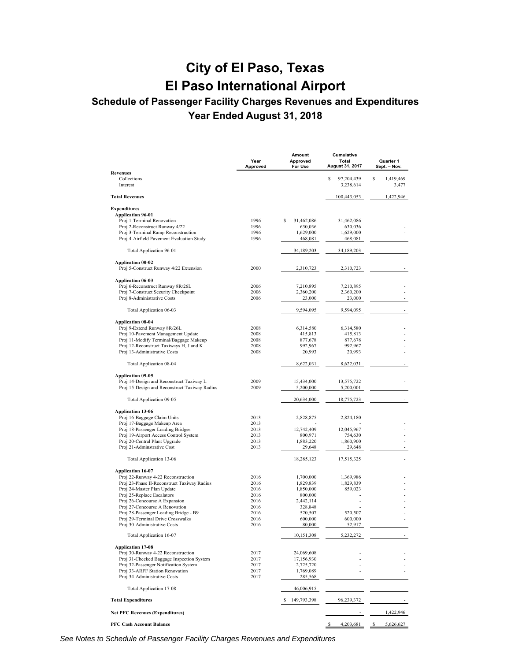### **Schedule of Passenger Facility Charges Revenues and Expenditures Year Ended August 31, 2018**

|                                                                                  | Year         | Amount<br>Approved      | Cumulative<br>Total           | Quarter 1                |
|----------------------------------------------------------------------------------|--------------|-------------------------|-------------------------------|--------------------------|
| <b>Revenues</b>                                                                  | Approved     | For Use                 | August 31, 2017               | Sept. - Nov.             |
| Collections<br>Interest                                                          |              |                         | \$<br>97,204,439<br>3,238,614 | \$<br>1,419,469<br>3,477 |
| <b>Total Revenues</b>                                                            |              |                         | 100,443,053                   | 1,422,946                |
| <b>Expenditures</b>                                                              |              |                         |                               |                          |
| <b>Application 96-01</b>                                                         |              |                         |                               |                          |
| Proj 1-Terminal Renovation                                                       | 1996         | \$<br>31,462,086        | 31,462,086                    |                          |
| Proj 2-Reconstruct Runway 4/22                                                   | 1996         | 630,036                 | 630,036                       |                          |
| Proj 3-Terminal Ramp Reconstruction<br>Proj 4-Airfield Pavement Evaluation Study | 1996<br>1996 | 1,629,000<br>468,081    | 1,629,000<br>468,081          |                          |
| Total Application 96-01                                                          |              | 34,189,203              | 34,189,203                    |                          |
| <b>Application 00-02</b>                                                         |              |                         |                               |                          |
| Proj 5-Construct Runway 4/22 Extension                                           | 2000         | 2,310,723               | 2,310,723                     |                          |
| <b>Application 06-03</b>                                                         |              |                         |                               |                          |
| Proj 6-Reconstruct Runway 8R/26L                                                 | 2006         | 7,210,895               | 7,210,895                     |                          |
| Proj 7-Construct Security Checkpoint                                             | 2006         | 2,360,200               | 2,360,200                     |                          |
| Proj 8-Administrative Costs                                                      | 2006         | 23,000                  | 23,000                        |                          |
| Total Application 06-03                                                          |              | 9,594,095               | 9,594,095                     |                          |
| <b>Application 08-04</b>                                                         |              |                         |                               |                          |
| Proj 9-Extend Runway 8R/26L                                                      | 2008         | 6,314,580               | 6,314,580                     |                          |
| Proj 10-Pavement Management Update                                               | 2008         | 415,813                 | 415,813                       |                          |
| Proj 11-Modify Terminal/Baggage Makeup                                           | 2008         | 877,678                 | 877,678                       |                          |
| Proj 12-Reconstruct Taxiways H, J and K<br>Proj 13-Administrative Costs          | 2008<br>2008 | 992,967<br>20,993       | 992,967<br>20,993             | $\blacksquare$           |
| Total Application 08-04                                                          |              | 8,622,031               | 8,622,031                     |                          |
|                                                                                  |              |                         |                               |                          |
| <b>Application 09-05</b>                                                         |              |                         |                               |                          |
| Proj 14-Design and Reconstruct Taxiway L                                         | 2009<br>2009 | 15,434,000<br>5,200,000 | 13,575,722                    |                          |
| Proj 15-Design and Reconstruct Taxiway Radius                                    |              |                         | 5,200,001                     |                          |
| Total Application 09-05                                                          |              | 20,634,000              | 18,775,723                    |                          |
| <b>Application 13-06</b>                                                         |              |                         |                               |                          |
| Proj 16-Baggage Claim Units                                                      | 2013         | 2,828,875               | 2,824,180                     |                          |
| Proj 17-Baggage Makeup Area                                                      | 2013         |                         |                               |                          |
| Proj 18-Passenger Loading Bridges                                                | 2013<br>2013 | 12,742,409              | 12,045,967                    |                          |
| Proj 19-Airport Access Control System<br>Proj 20-Central Plant Upgrade           | 2013         | 800,971<br>1,883,220    | 754,630<br>1,860,900          |                          |
| Proj 21-Adminstrative Cost                                                       | 2013         | 29,648                  | 29,648                        |                          |
| Total Application 13-06                                                          |              | 18,285,123              | 17,515,325                    |                          |
|                                                                                  |              |                         |                               |                          |
| <b>Application 16-07</b><br>Proj 22-Runway 4-22 Reconstruction                   | 2016         | 1,700,000               | 1,369,986                     |                          |
| Proj 23-Phase II-Reconstruct Taxiway Radius                                      | 2016         | 1,829,839               | 1,829,839                     | ä,                       |
| Proj 24-Master Plan Update                                                       | 2016         | 1,850,000               | 859,023                       |                          |
| Proj 25-Replace Escalators                                                       | 2016         | 800,000                 |                               |                          |
| Proj 26-Concourse A Expansion                                                    | 2016         | 2,442,114               |                               |                          |
| Proj 27-Concourse A Renovation                                                   | 2016         | 328,848                 |                               |                          |
| Proj 28-Passenger Loading Bridge - B9<br>Proj 29-Terminal Drive Crosswalks       | 2016<br>2016 | 520,507                 | 520,507                       |                          |
| Proj 30-Administrative Costs                                                     | 2016         | 600,000<br>80,000       | 600,000<br>52.917             |                          |
| Total Application 16-07                                                          |              | 10,151,308              | 5,232,272                     |                          |
| <b>Application 17-08</b>                                                         |              |                         |                               |                          |
| Proj 30-Runway 4-22 Reconstruction                                               | 2017         | 24,069,608              |                               |                          |
| Proj 31-Checked Baggage Inspection System                                        | 2017         | 17,156,930              |                               |                          |
| Proj 32-Passenger Notification System                                            | 2017         | 2,725,720               |                               |                          |
| Proj 33-ARFF Station Renovation<br>Proj 34-Administrative Costs                  | 2017<br>2017 | 1,769,089<br>285,568    |                               |                          |
| Total Application 17-08                                                          |              | 46,006,915              |                               |                          |
| <b>Total Expenditures</b>                                                        |              | 149,793,398<br>s        | 96,239,372                    |                          |
|                                                                                  |              |                         |                               |                          |
| <b>Net PFC Revenues (Expenditures)</b>                                           |              |                         |                               | 1,422,946                |
| <b>PFC Cash Account Balance</b>                                                  |              |                         | \$<br>4,203,681               | \$<br>5,626,627          |

*See Notes to Schedule of Passenger Facility Charges Revenues and Expenditures*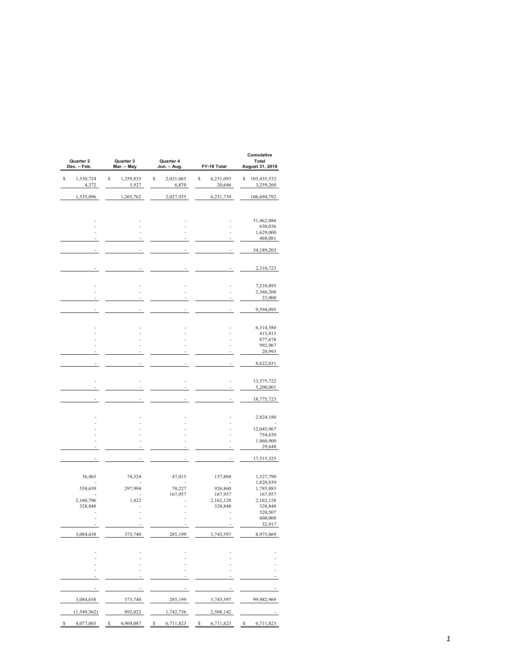|    |                          |                          |    |                          |    |                      | Cumulative |                          |
|----|--------------------------|--------------------------|----|--------------------------|----|----------------------|------------|--------------------------|
|    | Quarter 2<br>Dec. - Feb. | Quarter 3<br>Mar. - May  |    | Quarter 4<br>Jun. - Aug. |    | FY-18 Total          |            | Total<br>August 31, 2018 |
| S  | 1,530,724<br>4,372       | \$<br>1,259,835<br>5,927 | \$ | 2,021,065<br>6,870       | \$ | 6,231,093<br>20,646  | \$         | 103,435,532<br>3,259,260 |
|    | 1,535,096                | 1,265,762                |    | 2,027,935                |    | 6,251,739            |            | 106,694,792              |
|    |                          |                          |    |                          |    |                      |            |                          |
|    |                          |                          |    |                          |    |                      |            | 31,462,086               |
|    |                          |                          |    |                          |    |                      |            | 630,036                  |
|    |                          |                          |    |                          |    |                      |            | 1,629,000<br>468,081     |
|    |                          |                          |    |                          |    |                      |            | 34,189,203               |
|    |                          |                          |    |                          |    |                      |            |                          |
|    |                          |                          |    |                          |    |                      |            | 2,310,723                |
|    |                          |                          |    |                          |    |                      |            | 7,210,895                |
|    |                          |                          |    |                          |    |                      |            | 2,360,200                |
|    |                          |                          |    |                          |    |                      |            | 23,000                   |
|    |                          |                          |    |                          |    |                      |            | 9,594,095                |
|    |                          |                          |    |                          |    |                      |            | 6,314,580                |
|    |                          |                          |    |                          |    |                      |            | 415,813                  |
|    |                          |                          |    |                          |    |                      |            | 877,678                  |
|    |                          |                          |    |                          |    |                      |            | 992,967                  |
|    |                          |                          |    |                          |    |                      |            | 20,993                   |
|    |                          |                          |    |                          |    |                      |            | 8,622,031                |
|    |                          |                          |    |                          |    |                      |            | 13,575,722               |
|    |                          |                          |    |                          |    | L,                   |            | 5,200,001                |
|    |                          |                          |    |                          |    |                      |            | 18,775,723               |
|    |                          |                          |    |                          |    |                      |            | 2,824,180                |
|    |                          |                          |    |                          |    |                      |            |                          |
|    |                          |                          |    |                          |    |                      |            | 12,045,967<br>754,630    |
|    |                          |                          |    |                          |    |                      |            | 1,860,900                |
|    |                          |                          |    |                          |    |                      |            | 29,648                   |
|    |                          |                          |    |                          |    |                      |            | 17,515,325               |
|    | 36,465                   | 74,324                   |    | 47,015                   |    | 157,804              |            | 1,527,790                |
|    |                          |                          |    |                          |    |                      |            | 1,829,839                |
|    | 558,639                  | 297,994                  |    | 70,227                   |    | 926,860              |            | 1,785,883                |
|    |                          |                          |    | 167,957                  |    | 167,957              |            | 167,957                  |
|    | 2,160,706<br>328,848     | 1,422                    |    |                          |    | 2,162,128<br>328,848 |            | 2,162,128<br>328,848     |
|    |                          |                          |    |                          |    |                      |            | 520,507                  |
|    |                          |                          |    |                          |    |                      |            | 600,000<br>52,917        |
|    | 3,084,658                | 373,740                  |    | 285,199                  |    | 3,743,597            |            | 8,975,869                |
|    |                          |                          |    |                          |    |                      |            |                          |
|    |                          |                          |    |                          |    |                      |            |                          |
|    |                          |                          |    |                          |    |                      |            |                          |
|    |                          |                          |    |                          |    |                      |            |                          |
|    |                          |                          |    |                          |    |                      |            |                          |
|    |                          |                          |    |                          |    |                      |            |                          |
|    | 3,084,658                | 373,740                  |    | 285,199                  |    | 3,743,597            |            | 99,982,969               |
|    | (1, 549, 562)            | 892,022                  |    | 1,742,736                |    | 2,508,142            |            |                          |
| \$ | 4,077,065                | \$<br>4,969,087          | \$ | 6,711,823                | \$ | 6,711,823            | \$         | 6,711,823                |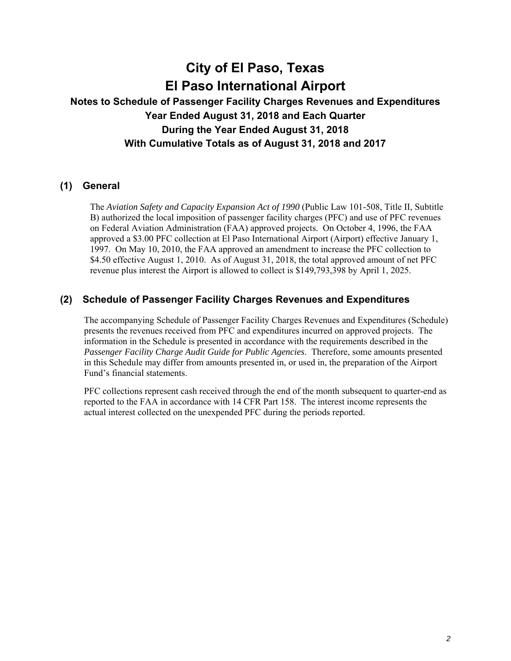# **Notes to Schedule of Passenger Facility Charges Revenues and Expenditures Year Ended August 31, 2018 and Each Quarter During the Year Ended August 31, 2018 With Cumulative Totals as of August 31, 2018 and 2017**

#### **(1) General**

The *Aviation Safety and Capacity Expansion Act of 1990* (Public Law 101-508, Title II, Subtitle B) authorized the local imposition of passenger facility charges (PFC) and use of PFC revenues on Federal Aviation Administration (FAA) approved projects. On October 4, 1996, the FAA approved a \$3.00 PFC collection at El Paso International Airport (Airport) effective January 1, 1997. On May 10, 2010, the FAA approved an amendment to increase the PFC collection to \$4.50 effective August 1, 2010. As of August 31, 2018, the total approved amount of net PFC revenue plus interest the Airport is allowed to collect is \$149,793,398 by April 1, 2025.

### **(2) Schedule of Passenger Facility Charges Revenues and Expenditures**

The accompanying Schedule of Passenger Facility Charges Revenues and Expenditures (Schedule) presents the revenues received from PFC and expenditures incurred on approved projects. The information in the Schedule is presented in accordance with the requirements described in the *Passenger Facility Charge Audit Guide for Public Agencies*. Therefore, some amounts presented in this Schedule may differ from amounts presented in, or used in, the preparation of the Airport Fund's financial statements.

PFC collections represent cash received through the end of the month subsequent to quarter-end as reported to the FAA in accordance with 14 CFR Part 158. The interest income represents the actual interest collected on the unexpended PFC during the periods reported.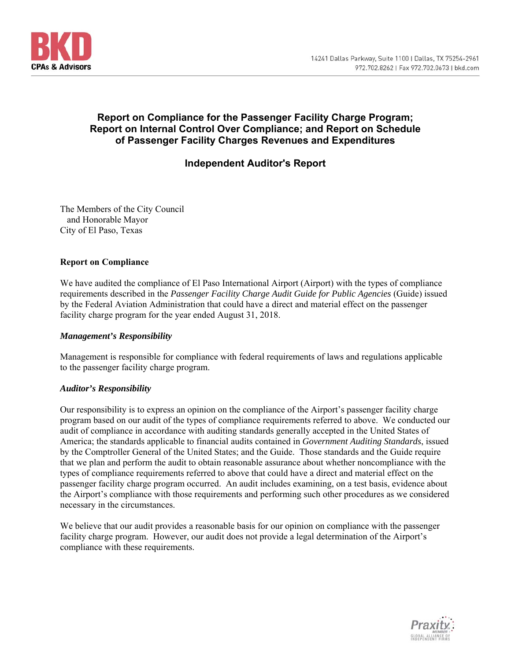

#### **Report on Compliance for the Passenger Facility Charge Program; Report on Internal Control Over Compliance; and Report on Schedule of Passenger Facility Charges Revenues and Expenditures**

### **Independent Auditor's Report**

The Members of the City Council and Honorable Mayor City of El Paso, Texas

#### **Report on Compliance**

We have audited the compliance of El Paso International Airport (Airport) with the types of compliance requirements described in the *Passenger Facility Charge Audit Guide for Public Agencies* (Guide) issued by the Federal Aviation Administration that could have a direct and material effect on the passenger facility charge program for the year ended August 31, 2018.

#### *Management's Responsibility*

Management is responsible for compliance with federal requirements of laws and regulations applicable to the passenger facility charge program.

#### *Auditor's Responsibility*

Our responsibility is to express an opinion on the compliance of the Airport's passenger facility charge program based on our audit of the types of compliance requirements referred to above. We conducted our audit of compliance in accordance with auditing standards generally accepted in the United States of America; the standards applicable to financial audits contained in *Government Auditing Standards*, issued by the Comptroller General of the United States; and the Guide. Those standards and the Guide require that we plan and perform the audit to obtain reasonable assurance about whether noncompliance with the types of compliance requirements referred to above that could have a direct and material effect on the passenger facility charge program occurred. An audit includes examining, on a test basis, evidence about the Airport's compliance with those requirements and performing such other procedures as we considered necessary in the circumstances.

We believe that our audit provides a reasonable basis for our opinion on compliance with the passenger facility charge program. However, our audit does not provide a legal determination of the Airport's compliance with these requirements.

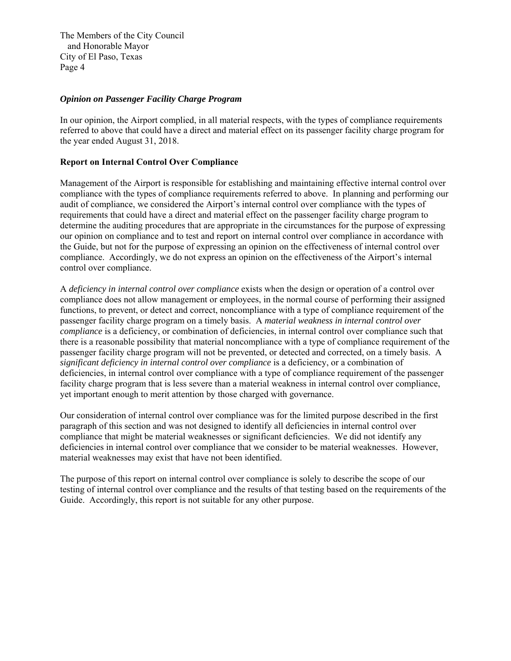The Members of the City Council and Honorable Mayor City of El Paso, Texas Page 4

#### *Opinion on Passenger Facility Charge Program*

In our opinion, the Airport complied, in all material respects, with the types of compliance requirements referred to above that could have a direct and material effect on its passenger facility charge program for the year ended August 31, 2018.

#### **Report on Internal Control Over Compliance**

Management of the Airport is responsible for establishing and maintaining effective internal control over compliance with the types of compliance requirements referred to above. In planning and performing our audit of compliance, we considered the Airport's internal control over compliance with the types of requirements that could have a direct and material effect on the passenger facility charge program to determine the auditing procedures that are appropriate in the circumstances for the purpose of expressing our opinion on compliance and to test and report on internal control over compliance in accordance with the Guide, but not for the purpose of expressing an opinion on the effectiveness of internal control over compliance. Accordingly, we do not express an opinion on the effectiveness of the Airport's internal control over compliance.

A *deficiency in internal control over compliance* exists when the design or operation of a control over compliance does not allow management or employees, in the normal course of performing their assigned functions, to prevent, or detect and correct, noncompliance with a type of compliance requirement of the passenger facility charge program on a timely basis. A *material weakness in internal control over compliance* is a deficiency, or combination of deficiencies, in internal control over compliance such that there is a reasonable possibility that material noncompliance with a type of compliance requirement of the passenger facility charge program will not be prevented, or detected and corrected, on a timely basis. A *significant deficiency in internal control over compliance* is a deficiency, or a combination of deficiencies, in internal control over compliance with a type of compliance requirement of the passenger facility charge program that is less severe than a material weakness in internal control over compliance, yet important enough to merit attention by those charged with governance.

Our consideration of internal control over compliance was for the limited purpose described in the first paragraph of this section and was not designed to identify all deficiencies in internal control over compliance that might be material weaknesses or significant deficiencies. We did not identify any deficiencies in internal control over compliance that we consider to be material weaknesses. However, material weaknesses may exist that have not been identified.

The purpose of this report on internal control over compliance is solely to describe the scope of our testing of internal control over compliance and the results of that testing based on the requirements of the Guide. Accordingly, this report is not suitable for any other purpose.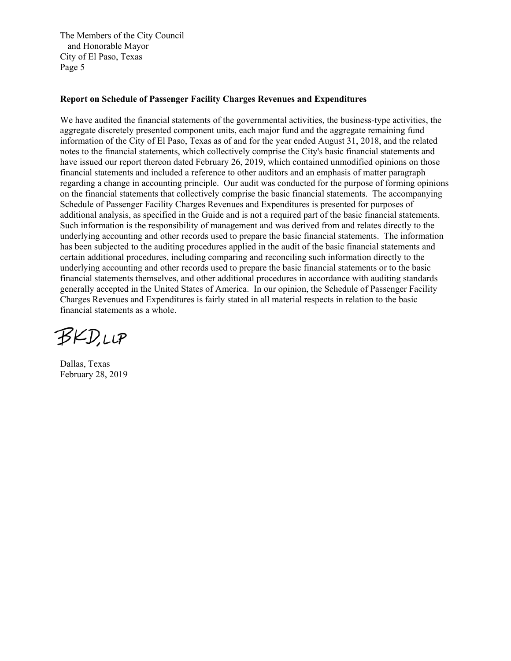The Members of the City Council and Honorable Mayor City of El Paso, Texas Page 5

#### **Report on Schedule of Passenger Facility Charges Revenues and Expenditures**

We have audited the financial statements of the governmental activities, the business-type activities, the aggregate discretely presented component units, each major fund and the aggregate remaining fund information of the City of El Paso, Texas as of and for the year ended August 31, 2018, and the related notes to the financial statements, which collectively comprise the City's basic financial statements and have issued our report thereon dated February 26, 2019, which contained unmodified opinions on those financial statements and included a reference to other auditors and an emphasis of matter paragraph regarding a change in accounting principle. Our audit was conducted for the purpose of forming opinions on the financial statements that collectively comprise the basic financial statements. The accompanying Schedule of Passenger Facility Charges Revenues and Expenditures is presented for purposes of additional analysis, as specified in the Guide and is not a required part of the basic financial statements. Such information is the responsibility of management and was derived from and relates directly to the underlying accounting and other records used to prepare the basic financial statements. The information has been subjected to the auditing procedures applied in the audit of the basic financial statements and certain additional procedures, including comparing and reconciling such information directly to the underlying accounting and other records used to prepare the basic financial statements or to the basic financial statements themselves, and other additional procedures in accordance with auditing standards generally accepted in the United States of America. In our opinion, the Schedule of Passenger Facility Charges Revenues and Expenditures is fairly stated in all material respects in relation to the basic financial statements as a whole.

**BKD,LLP** 

Dallas, Texas February 28, 2019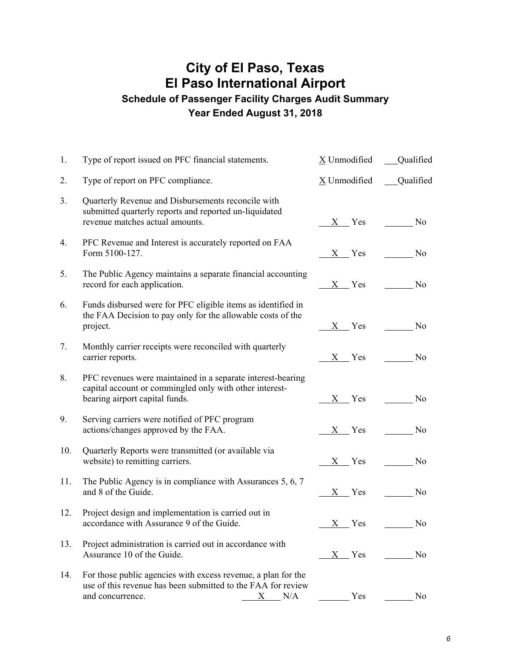# **City of El Paso, Texas El Paso International Airport Schedule of Passenger Facility Charges Audit Summary Year Ended August 31, 2018**

| 1.  | Type of report issued on PFC financial statements.                                                                                                             | X Unmodified           | Qualified                             |
|-----|----------------------------------------------------------------------------------------------------------------------------------------------------------------|------------------------|---------------------------------------|
| 2.  | Type of report on PFC compliance.                                                                                                                              | X Unmodified Qualified |                                       |
| 3.  | Quarterly Revenue and Disbursements reconcile with<br>submitted quarterly reports and reported un-liquidated<br>revenue matches actual amounts.                | X Yes                  | No                                    |
| 4.  | PFC Revenue and Interest is accurately reported on FAA<br>Form 5100-127.                                                                                       | $X$ Yes                | $\frac{1}{\sqrt{1-\frac{1}{c^2}}}$ No |
| 5.  | The Public Agency maintains a separate financial accounting<br>record for each application.                                                                    | $X$ Yes $N$ o          |                                       |
| 6.  | Funds disbursed were for PFC eligible items as identified in<br>the FAA Decision to pay only for the allowable costs of the<br>project.                        | X Yes No               |                                       |
| 7.  | Monthly carrier receipts were reconciled with quarterly<br>carrier reports.                                                                                    | $X$ Yes                | No.                                   |
| 8.  | PFC revenues were maintained in a separate interest-bearing<br>capital account or commingled only with other interest-<br>bearing airport capital funds.       |                        | X Yes No                              |
| 9.  | Serving carriers were notified of PFC program<br>actions/changes approved by the FAA.                                                                          | $X$ Yes $N$ o          |                                       |
| 10. | Quarterly Reports were transmitted (or available via<br>website) to remitting carriers.                                                                        | $X$ Yes                | No                                    |
| 11. | The Public Agency is in compliance with Assurances 5, 6, 7<br>and 8 of the Guide.                                                                              | $X$ Yes                | No                                    |
| 12. | Project design and implementation is carried out in<br>accordance with Assurance 9 of the Guide.                                                               | $X$ Yes                | No                                    |
| 13. | Project administration is carried out in accordance with<br>Assurance 10 of the Guide.                                                                         | $X$ Yes                | No                                    |
| 14. | For those public agencies with excess revenue, a plan for the<br>use of this revenue has been submitted to the FAA for review<br>and concurrence.<br>$X \_N/A$ | Yes                    | No                                    |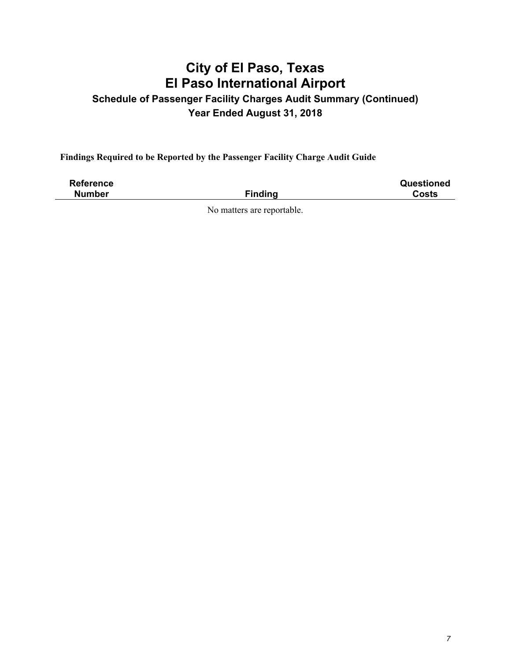## **Schedule of Passenger Facility Charges Audit Summary (Continued) Year Ended August 31, 2018**

**Findings Required to be Reported by the Passenger Facility Charge Audit Guide** 

 $\overline{a}$ 

| <b>Reference</b> |         | Questioned |
|------------------|---------|------------|
| <b>Number</b>    | Finding | Costs      |

No matters are reportable.